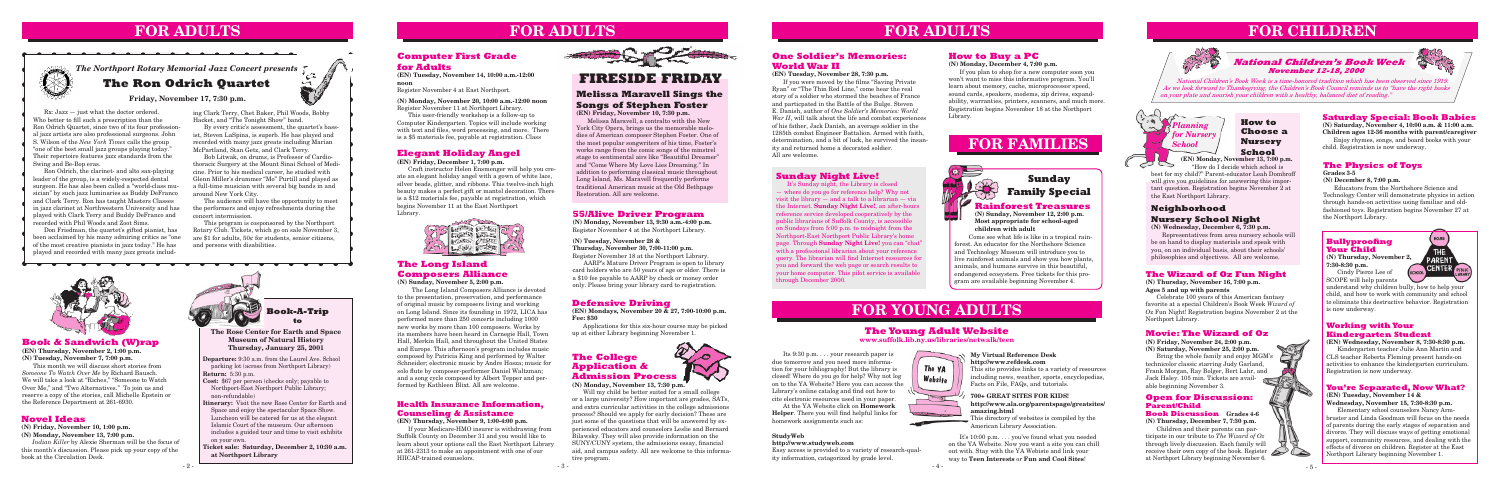**Departure:** 9:30 a.m. from the Laurel Ave. School parking lot (across from Northport Library) **Return:** 5:30 p.m.

- **Cost:** \$67 per person (checks only; payable to Northport-East Northport Public Library; non-refundable)
- **Itinerary:** Visit the new Rose Center for Earth and Space and enjoy the spectacular Space Show. Luncheon will be catered for us at the elegant Islamic Court of the museum. Our afternoon includes a guided tour and time to visit exhibits on your own.
- **Ticket sale: Saturday, December 2, 10:30 a.m. at Northport Library**



**Book-A-Trip to**

## **FOR ADULTS**



#### **Defensive Driving**

**(EN) Mondays, November 20 & 27, 7:00-10:00 p.m. Fee: \$30** 

Applications for this six-hour course may be picked up at either Library beginning November 1.

#### **Bullyproofing Your Child**

**(N) Thursday, November 2, 7:30-8:30 p.m.**

Cindy Pierce Lee of SCOPE will help parents



understand why children bully, how to help your child, and how to work with community and school to eliminate this destructive behavior. Registration is now underway.

#### **Working with Your Kindergarten Student**

**(EN) Wednesday, November 8, 7:30-8:30 p.m.**

Kindergarten teacher Julie Ann Martin and CLS teacher Roberta Fleming present hands-on activities to enhance the kindergarten curriculum. Registration is now underway.

# **Computer First Grade**

#### **for Adults**

**(EN) Tuesday, November 14, 10:00 a.m.-12:00 noon**

Register November 4 at East Northport.

**(N) Monday, November 20, 10:00 a.m.-12:00 noon** Register November 11 at Northport Library.

This user-friendly workshop is a follow-up to Computer Kindergarten. Topics will include working with text and files, word processing, and more. There is a \$5 materials fee, payable at registration. Class

#### **Novel Ideas**

**(N) Friday, November 10, 1:00 p.m.**

**(N) Monday, November 13, 7:00 p.m.**

*Indian Killer* by Alexie Sherman will be the focus of this month's discussion. Please pick up your copy of the book at the Circulation Desk.



#### **Book & Sandwich (W)rap**

**(EN) Thursday, November 2, 1:00 p.m. (N) Tuesday, November 7, 7:00 p.m.**

This month we will discuss short stories from *Someone To Watch Over Me* by Richard Bausch. We will take a look at "Riches," "Someone to Watch Over Me," and "Two Alternatives." To join us and reserve a copy of the stories, call Michelle Epstein or the Reference Department at 261-6930.

#### **One Soldier's Memories: World War II**

**(EN) Tuesday, November 28, 7:30 p.m.**

#### Friday, November 17, 7:30 p.m. **Melissa Maravell Sings the Songs of Stephen Foster (EN) Friday, November 10, 7:30 p.m.**

If you were moved by the films "Saving Private Ryan" or "The Thin Red Line," come hear the real story of a soldier who stormed the beaches of France and particpated in the Battle of the Bulge. Steven E. Danish, author of *One Soldier's Memories: World War II*, will talk about the life and combat experiences of his father, Jack Danish, an average soldier in the 1285th combat Engineer Battalion. Armed with faith, determination, and a bit of luck, he survived the insanity and returned home a decorated soldier. All are welcome.

#### **You're Separated, Now What?**

**(EN) Tuesday, November 14 & Wednesday, November 15, 7:30-8:30 p.m.**

Elementary school counselors Nancy Armbruster and Linda Goodman will focus on the needs of parents during the early stages of separation and divorce. They will discuss ways of getting emotional support, community resources, and dealing with the effects of divorce on children. Register at the East Northport Library beginning November 1.

#### **Health Insurance Information, Counseling & Assistance**

**(EN) Thursday, November 9, 1:00-4:00 p.m.** If your Medicare-HMO insurer is withdrawing from Suffolk County on December 31 and you would like to learn about your options call the East Northport Library at 261-2313 to make an appointment with one of our HIICAP-trained counselors.

### **The Ron Odrich Quartet**

Rx: Jazz — just what the doctor ordered. Who better to fill such a prescription than the Ron Odrich Quartet, since two of its four professional jazz artists are also professional surgeons. John S. Wilson of the *New York Times* calls the group "one of the best small jazz groups playing today." Their repertoire features jazz standards from the Swing and Be-Bop eras.

Ron Odrich, the clarinet- and alto sax-playing leader of the group, is a widely-respected dental surgeon. He has also been called a "world-class musician" by such jazz luminaries as Buddy DeFranco and Clark Terry. Ron has taught Masters Classes in jazz clarinet at Northwestern University and has played with Clark Terry and Buddy DeFranco and recorded with Phil Woods and Zoot Sims.

Don Friedman, the quartet's gifted pianist, has been acclaimed by his many admiring critics as "one of the most creative pianists in jazz today." He has played and recorded with many jazz greats includ-

<del>. . . . . . . . . . . .</del>

Melissa Maravell, a contralto with the New York City Opera, brings us the memorable melodies of American composer Stephen Foster. One of the most popular songwriters of his time, Foster's works range from the comic songs of the minstrel stage to sentimental airs like "Beautiful Dreamer" and "Come Where My Love Lies Dreaming." In addition to performing classical music throughout Long Island, Ms. Maravell frequently performs

traditional American music at the Old Bethpage Restoration. All are welcome.

## **FOR ADULTS**



# **FIRESIDE FRIDAY**

#### **The Long Island Composers Alliance**

**(N) Sunday, November 5, 2:00 p.m.**

 The Long Island Composers Alliance is devoted to the presentation, preservation, and performance of original music by composers living and working on Long Island. Since its founding in 1972, LICA has performed more than 250 concerts including 1000 new works by more than 100 composers. Works by its members have been heard in Carnegie Hall, Town Hall, Merkin Hall, and throughout the United States and Europe. This afternoon's program includes music composed by Patricia King and performed by Walter Schneider; electronic music by Andre Hosza; music for solo flute by composer-performer Daniel Waltzman; and a song cycle composed by Albert Tepper and performed by Kathleen Blixt. All are welcome.

#### **Rainforest Treasures**

**(N) Sunday, November 12, 2:00 p.m. Most appropriate for school-aged children with adult**

#### **The Physics of Toys**

**Grades 3-5**

**(N) December 8, 7:00 p.m.**

Educators from the Northshore Science and Technology Center will demonstrate physics in action through hands-on activities using familiar and oldfashioned toys. Registration begins November 27 at the Northport Library.

#### **Sunday Family Special**

#### **Neighborhood Nursery School Night**

**(N) Wednesday, December 6, 7:30 p.m.**

Representatives from area nursery schools will be on hand to display materials and speak with you, on an individual basis, about their schools' philosophies and objectives. All are welcome.

## **FOR YOUNG ADULTS**

## **FOR FAMILIES**



#### **StudyWeb**

#### **http://www.studyweb.com**

Easy access is provided to a variety of research-quality information, catagorized by grade level.

It's 10:00 p.m. . . . you've found what you needed on the YA Website. Now you want a site you can chill out with. Stay with the YA Webiste and link your way to **Teen Interests** or **Fun and Cool Sites**!



#### **My Virtual Reference Desk http://www.refdesk.com**

This site provides links to a variety of resources including news, weather, sports, encyclopedias, Facts on File, FAQs, and tutorials.

#### **700+ GREAT SITES FOR KIDS!**

**http://www.ala.org/parentspage/greatsites/ amazing.html** This directory of websites is compiled by the

American Library Association.

#### **The College Application & Admission Process**

**(N) Monday, November 13, 7:30 p.m.**

Will my child be better suited for a small college or a large university? How important are grades, SATs, and extra curricular activities in the college admissions process? Should we apply for early decision? These are just some of the questions that will be answered by experienced educators and counselors Leslie and Bernard Bilawsky. They will also provide information on the SUNY/CUNY system, the admissions essay, financial aid, and campus safety. All are welcome to this informative program.



#### **The Wizard of Oz Fun Night**

**(N) Thursday, November 16, 7:00 p.m. Ages 5 and up with parents**

Celebrate 100 years of this American fantasy favorite at a special Children's Book Week *Wizard of O*z Fun Night! Registration begins November 2 at the Northport Library.

## **FOR CHILDREN**



**National Children's Book Week November 12-18, 2000**



National Children's Book Week is a time-honored tradition which has been observed since 1919. As we look forward to Thanksgiving, the Children's Book Council reminds us to "have the right books on your plate and nourish your children with a healthy, balanced diet of reading."

#### **Movie: The Wizard of Oz**

**(N) Friday, November 24, 2:00 p.m.**

**(N) Saturday, November 25, 2:00 p.m.**

Bring the whole family and enjoy MGM's technicolor classic starring Judy Garland, Frank Morgan, Ray Bolger, Bert Lahr, and Jack Haley. 105 min. Tickets are available beginning November 3.

#### **55/Alive Driver Program**

**(N) Monday, November 13, 9:30 a.m.-4:00 p.m.** Register November 4 at the Northport Library.

#### **(N) Tuesday, November 28 &**

**Thursday, November 30, 7:00-11:00 p.m.**

Register November 18 at the Northport Library.

AARP's Mature Driver Program is open to library card holders who are 50 years of age or older. There is a \$10 fee payable to AARP by check or money order only. Please bring your library card to registration.

"How do I decide which school is best for my child?" Parent-educator Leah Dombroff will give you guidelines for answering this important question. Registration begins November 2 at the East Northport Library.

#### **Elegant Holiday Angel**

**(EN) Friday, December 1, 7:00 p.m.**

Craft instructor Helen Ensmenger will help you create an elegant holiday angel with a gown of white lace, silver beads, glitter, and ribbons. This twelve-inch high beauty makes a perfect gift or mantel decoration. There is a \$12 materials fee, payable at registration, which begins November 11 at the East Northport Library.





#### **How to Buy a PC**

#### **(N) Monday, December 4, 7:00 p.m.**

If you plan to shop for a new computer soon you won't want to miss this informative program. You'll learn about memory, cache, microprocessor speed, sound cards, speakers, modems, zip drives, expandability, warranties, printers, scanners, and much more. Registration begins November 18 at the Northport Library.

 Come see what life is like in a tropical rainforest. An educator for the Northshore Science and Technology Museum will introduce you to live rainforest animals and show you how plants, animals, and humans survive in this beautiful, endangered ecosystem. Free tickets for this program are available beginning November 4.

#### **Saturday Special: Book Babies**

**(N) Saturday, November 4, 10:00 a.m. & 11:00 a.m. Children ages 12-36 months with parent/caregiver**

Enjoy rhymes, songs, and board books with your child. Registration is now underway.

#### **Sunday Night Live!**

It's Sunday night, the Library is closed — where do you go for reference help? Why not visit the library — and a talk to a librarian — via the Internet. **Sunday Night Live!**, an after-hours reference service developed cooperatively by the public librarians of Suffolk County, is accessible on Sundays from 5:00 p.m. to midnight from the Northport-East Northport Public Library's home page. Through **Sunday Night Live!** you can "chat" with a professional librarian about your reference query. The librarian will find Internet resources for you and forward the web page or search results to your home computer. This pilot service is available through December 2000.

Its 9:30 p.m. . . . your research paper is due tomorrow and you need more information for your bibliography! But the library is closed! Where do you go for help? Why not log on to the YA Website? Here you can access the Library's online catalog and find out how to cite electronic resources used in your paper.

At the YA Website click on **Homework Helper**. There you will find helpful links for homework assignments such as:

#### **The Young Adult Website**

**www.suffolk.lib.ny.us/libraries/netwalk/teen**



**The Rose Center for Earth and Space Museum of Natural History Thursday, January 25, 2001**

#### **Open for Discussion: Parent/Child**

**Book Discussion Grades 4-6 (N) Thursday, December 7, 7:30 p.m.**

Children and their parents can participate in our tribute to *The Wizard of Oz* through lively discussion. Each family will receive their own copy of the book. Register  $\Box$ at Northport Library beginning November 6.

*The Northport Rotary Memorial Jazz Concert presents*

<u> A A A A A A A A A A A A A A </u>



 $\sim$ 

By every critic's assessment, the quartet's bassist, Steven LaSpina, is superb. He has played and recorded with many jazz greats including Marian McPartland, Stan Getz, and Clark Terry.

Bob Litwak, on drums, is Professor of Cardiothoracic Surgery at the Mount Sinai School of Medicine. Prior to his medical career, he studied with Glenn Miller's drummer "Mo" Purtill and played as a full-time musician with several big bands in and around New York City.

The audience will have the opportunity to meet the performers and enjoy refreshments during the concert intermission.

This program is cosponsored by the Northport Rotary Club. Tickets, which go on sale November 3, are \$1 for adults, 50¢ for students, senior citizens, and persons with disabilities.